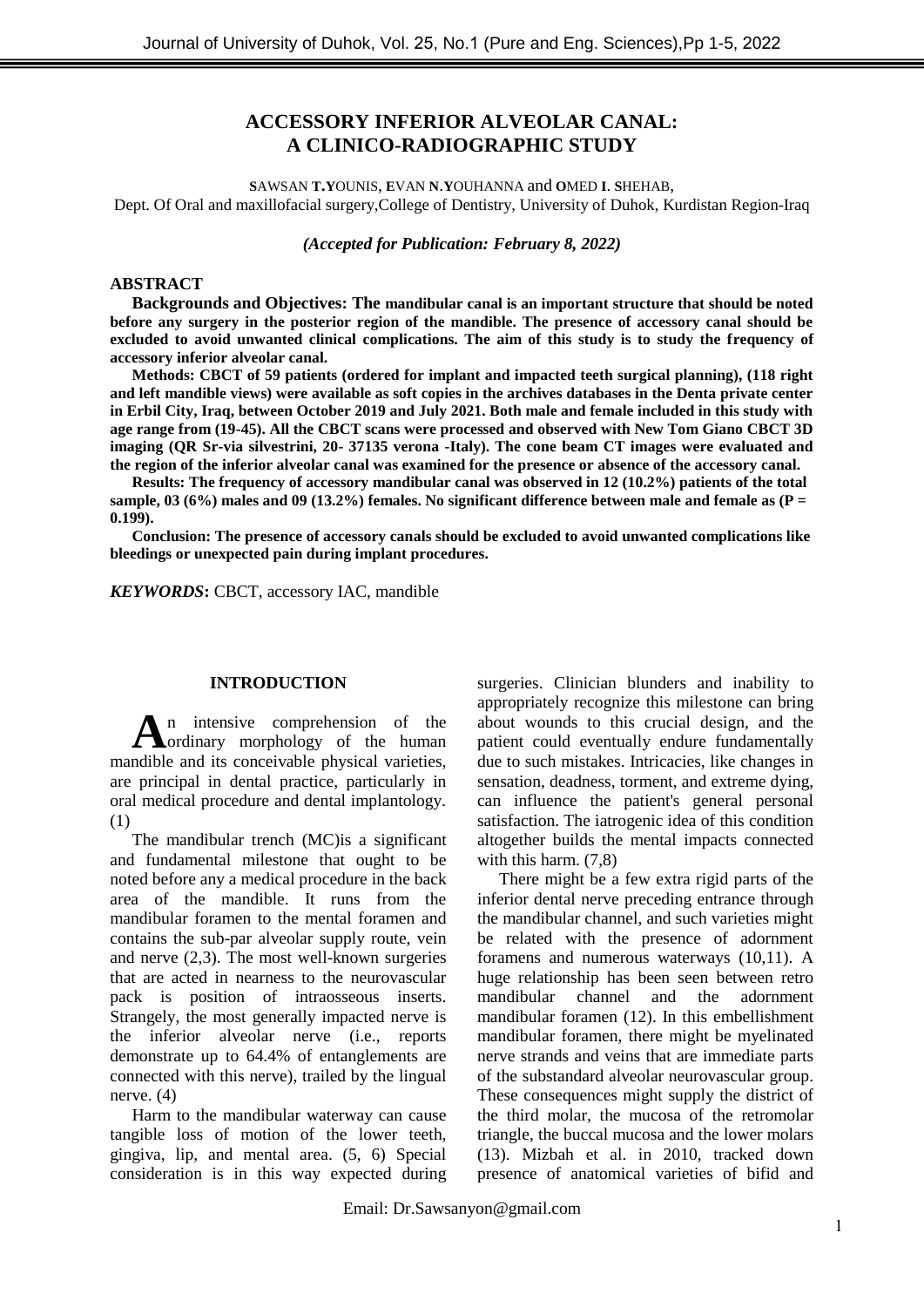# **ACCESSORY INFERIOR ALVEOLAR CANAL: A CLINICO-RADIOGRAPHIC STUDY**

**S**AWSAN **T.Y**OUNIS, **E**VAN **N**.**Y**OUHANNA and **O**MED **I**. **S**HEHAB, Dept. Of Oral and maxillofacial surgery,College of Dentistry, University of Duhok, Kurdistan Region-Iraq

*(Accepted for Publication: February 8, 2022)*

### **ABSTRACT**

**Backgrounds and Objectives: The mandibular canal is an important structure that should be noted before any surgery in the posterior region of the mandible. The presence of accessory canal should be excluded to avoid unwanted clinical complications. The aim of this study is to study the frequency of accessory inferior alveolar canal.** 

**Methods: CBCT of 59 patients (ordered for implant and impacted teeth surgical planning), (118 right and left mandible views) were available as soft copies in the archives databases in the Denta private center in Erbil City, Iraq, between October 2019 and July 2021. Both male and female included in this study with age range from (19-45). All the CBCT scans were processed and observed with New Tom Giano CBCT 3D imaging (QR Sr-via silvestrini, 20- 37135 verona -Italy). The cone beam CT images were evaluated and the region of the inferior alveolar canal was examined for the presence or absence of the accessory canal.** 

**Results: The frequency of accessory mandibular canal was observed in 12 (10.2%) patients of the total sample, 03 (6%) males and 09 (13.2%) females. No significant difference between male and female as (P = 0.199).** 

**Conclusion: The presence of accessory canals should be excluded to avoid unwanted complications like bleedings or unexpected pain during implant procedures.** 

*KEYWORDS***:** CBCT, accessory IAC, mandible

### **INTRODUCTION**

n intensive comprehension of the ordinary morphology of the human mandible and its conceivable physical varieties, are principal in dental practice, particularly in oral medical procedure and dental implantology. (1) **A**

The mandibular trench (MC)is a significant and fundamental milestone that ought to be noted before any a medical procedure in the back area of the mandible. It runs from the mandibular foramen to the mental foramen and contains the sub-par alveolar supply route, vein and nerve (2,3). The most well-known surgeries that are acted in nearness to the neurovascular pack is position of intraosseous inserts. Strangely, the most generally impacted nerve is the inferior alveolar nerve (i.e., reports demonstrate up to 64.4% of entanglements are connected with this nerve), trailed by the lingual nerve. (4)

Harm to the mandibular waterway can cause tangible loss of motion of the lower teeth, gingiva, lip, and mental area. (5, 6) Special consideration is in this way expected during

surgeries. Clinician blunders and inability to appropriately recognize this milestone can bring about wounds to this crucial design, and the patient could eventually endure fundamentally due to such mistakes. Intricacies, like changes in sensation, deadness, torment, and extreme dying, can influence the patient's general personal satisfaction. The iatrogenic idea of this condition altogether builds the mental impacts connected with this harm.  $(7,8)$ 

There might be a few extra rigid parts of the inferior dental nerve preceding entrance through the mandibular channel, and such varieties might be related with the presence of adornment foramens and numerous waterways (10,11). A huge relationship has been seen between retro mandibular channel and the adornment mandibular foramen (12). In this embellishment mandibular foramen, there might be myelinated nerve strands and veins that are immediate parts of the substandard alveolar neurovascular group. These consequences might supply the district of the third molar, the mucosa of the retromolar triangle, the buccal mucosa and the lower molars (13). Mizbah et al. in 2010, tracked down presence of anatomical varieties of bifid and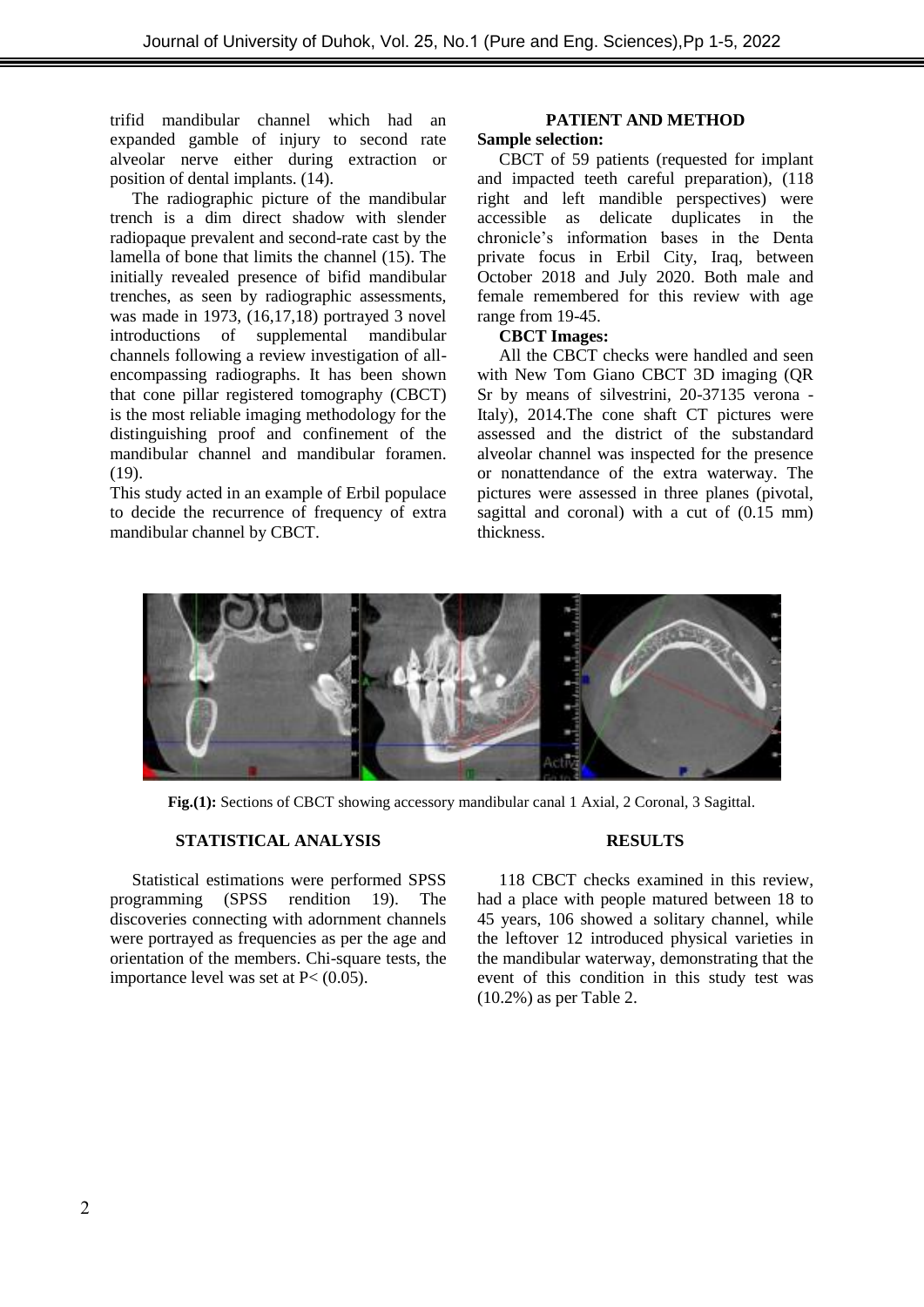trifid mandibular channel which had an expanded gamble of injury to second rate alveolar nerve either during extraction or position of dental implants. (14).

The radiographic picture of the mandibular trench is a dim direct shadow with slender radiopaque prevalent and second-rate cast by the lamella of bone that limits the channel (15). The initially revealed presence of bifid mandibular trenches, as seen by radiographic assessments, was made in 1973, (16,17,18) portrayed 3 novel introductions of supplemental mandibular channels following a review investigation of allencompassing radiographs. It has been shown that cone pillar registered tomography (CBCT) is the most reliable imaging methodology for the distinguishing proof and confinement of the mandibular channel and mandibular foramen. (19).

This study acted in an example of Erbil populace to decide the recurrence of frequency of extra mandibular channel by CBCT.

### **PATIENT AND METHOD Sample selection:**

CBCT of 59 patients (requested for implant and impacted teeth careful preparation), (118 right and left mandible perspectives) were accessible as delicate duplicates in the chronicle's information bases in the Denta private focus in Erbil City, Iraq, between October 2018 and July 2020. Both male and female remembered for this review with age range from 19-45.

## **CBCT Images:**

All the CBCT checks were handled and seen with New Tom Giano CBCT 3D imaging (QR Sr by means of silvestrini, 20-37135 verona - Italy), 2014.The cone shaft CT pictures were assessed and the district of the substandard alveolar channel was inspected for the presence or nonattendance of the extra waterway. The pictures were assessed in three planes (pivotal, sagittal and coronal) with a cut of (0.15 mm) thickness.



**Fig.(1):** Sections of CBCT showing accessory mandibular canal 1 Axial, 2 Coronal, 3 Sagittal.

## **STATISTICAL ANALYSIS**

Statistical estimations were performed SPSS programming (SPSS rendition 19). The discoveries connecting with adornment channels were portrayed as frequencies as per the age and orientation of the members. Chi-square tests, the importance level was set at  $P < (0.05)$ .

## **RESULTS**

118 CBCT checks examined in this review, had a place with people matured between 18 to 45 years, 106 showed a solitary channel, while the leftover 12 introduced physical varieties in the mandibular waterway, demonstrating that the event of this condition in this study test was (10.2%) as per Table 2.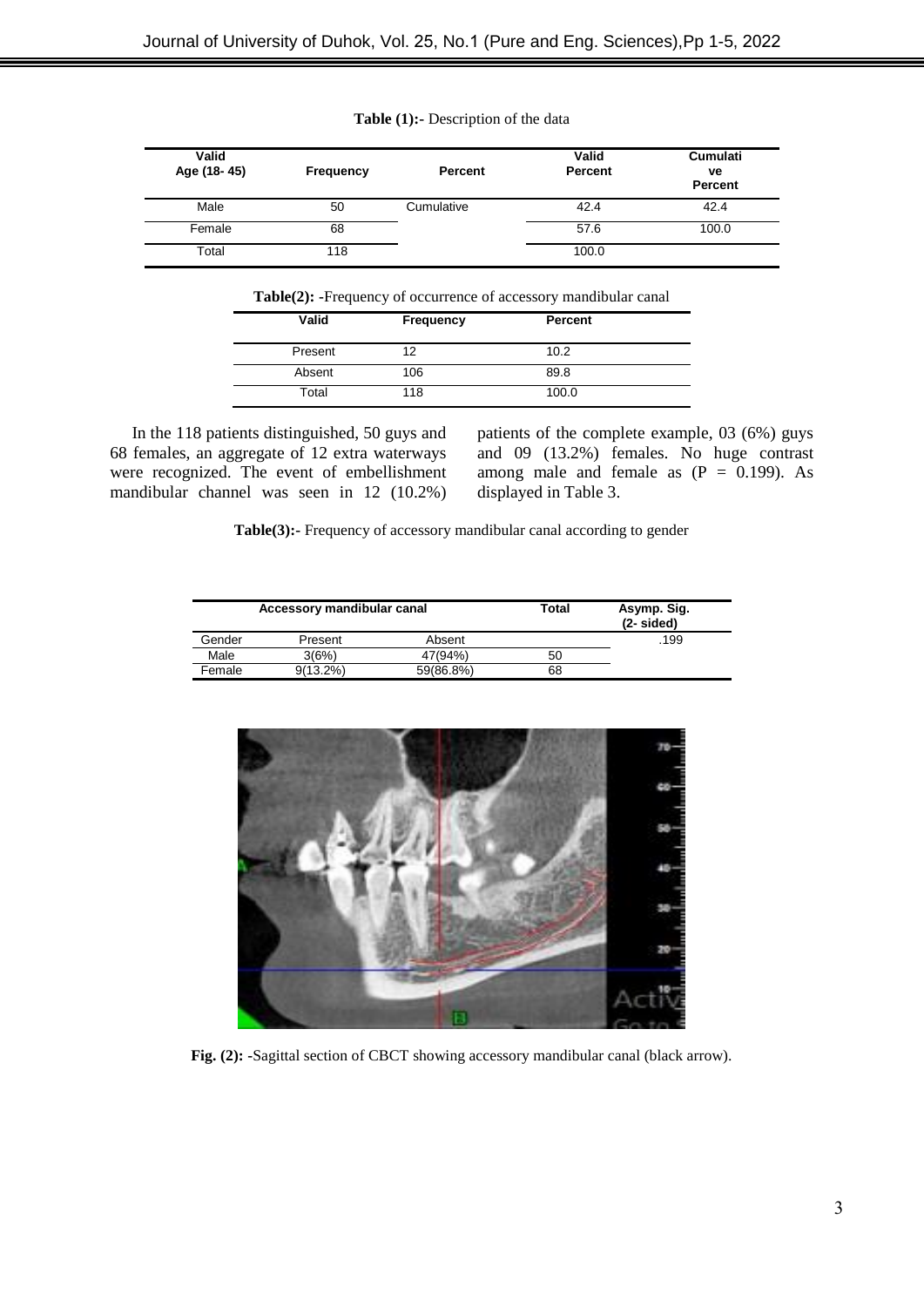| Valid<br>Age (18-45) | <b>Frequency</b> | <b>Percent</b> | Valid<br><b>Percent</b>                                                 | Cumulati<br>ve<br><b>Percent</b> |
|----------------------|------------------|----------------|-------------------------------------------------------------------------|----------------------------------|
| Male                 | 50               | Cumulative     | 42.4                                                                    | 42.4                             |
| Female               | 68               |                | 57.6                                                                    | 100.0                            |
| Total                | 118              |                | 100.0                                                                   |                                  |
|                      |                  |                | <b>Table(2):</b> -Frequency of occurrence of accessory mandibular canal |                                  |
|                      | Valid            | Frequency      | Percent                                                                 |                                  |
|                      | Present          | 12             | 10.2                                                                    |                                  |

Absent 106 89.8 Total 118 100.0

#### **Table (1):-** Description of the data

In the 118 patients distinguished, 50 guys and 68 females, an aggregate of 12 extra waterways were recognized. The event of embellishment mandibular channel was seen in 12 (10.2%) patients of the complete example, 03 (6%) guys and 09 (13.2%) females. No huge contrast among male and female as  $(P = 0.199)$ . As displayed in Table 3.

**Table(3):-** Frequency of accessory mandibular canal according to gender

|        | Accessory mandibular canal |           |    | Asymp. Sig.<br>$(2 - sided)$ |
|--------|----------------------------|-----------|----|------------------------------|
| Gender | Present                    | Absent    |    | 199                          |
| Male   | 3(6%)                      | 47(94%)   | 50 |                              |
| Female | $9(13.2\%)$                | 59(86.8%) | 68 |                              |



**Fig. (2): -**Sagittal section of CBCT showing accessory mandibular canal (black arrow).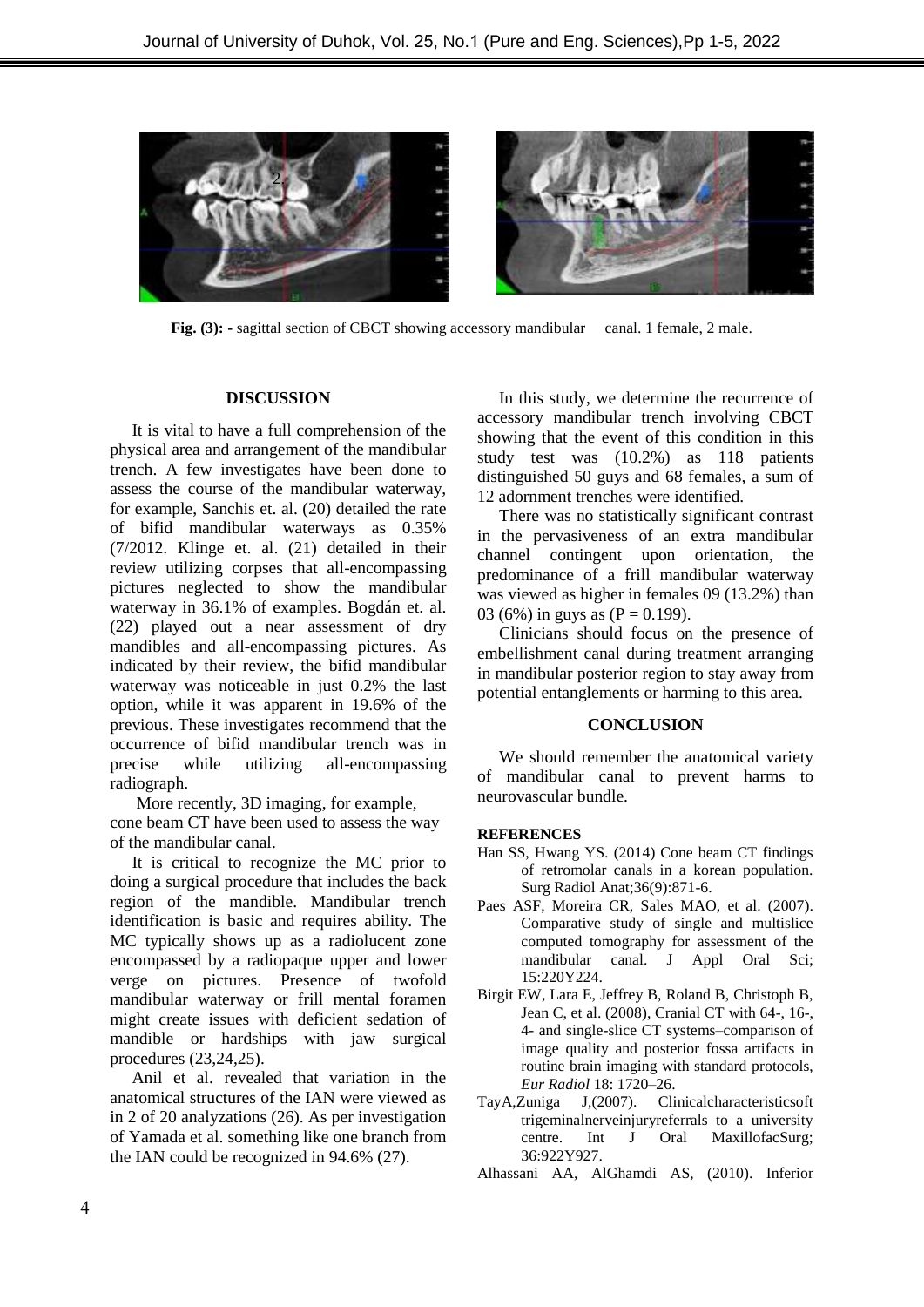

**Fig.** (3): - sagittal section of CBCT showing accessory mandibular canal. 1 female, 2 male.

## **DISCUSSION**

It is vital to have a full comprehension of the physical area and arrangement of the mandibular trench. A few investigates have been done to assess the course of the mandibular waterway, for example, Sanchis et. al. (20) detailed the rate of bifid mandibular waterways as 0.35% (7/2012. Klinge et. al. (21) detailed in their review utilizing corpses that all-encompassing pictures neglected to show the mandibular waterway in 36.1% of examples. Bogdán et. al. (22) played out a near assessment of dry mandibles and all-encompassing pictures. As indicated by their review, the bifid mandibular waterway was noticeable in just 0.2% the last option, while it was apparent in 19.6% of the previous. These investigates recommend that the occurrence of bifid mandibular trench was in precise while utilizing all-encompassing radiograph.

More recently, 3D imaging, for example, cone beam CT have been used to assess the way of the mandibular canal.

It is critical to recognize the MC prior to doing a surgical procedure that includes the back region of the mandible. Mandibular trench identification is basic and requires ability. The MC typically shows up as a radiolucent zone encompassed by a radiopaque upper and lower verge on pictures. Presence of twofold mandibular waterway or frill mental foramen might create issues with deficient sedation of mandible or hardships with jaw surgical procedures (23,24,25).

Anil et al. revealed that variation in the anatomical structures of the IAN were viewed as in 2 of 20 analyzations (26). As per investigation of Yamada et al. something like one branch from the IAN could be recognized in 94.6% (27).

In this study, we determine the recurrence of accessory mandibular trench involving CBCT showing that the event of this condition in this study test was (10.2%) as 118 patients distinguished 50 guys and 68 females, a sum of 12 adornment trenches were identified.

There was no statistically significant contrast in the pervasiveness of an extra mandibular channel contingent upon orientation, the predominance of a frill mandibular waterway was viewed as higher in females 09 (13.2%) than 03 (6%) in guys as ( $P = 0.199$ ).

Clinicians should focus on the presence of embellishment canal during treatment arranging in mandibular posterior region to stay away from potential entanglements or harming to this area.

## **CONCLUSION**

We should remember the anatomical variety of mandibular canal to prevent harms to neurovascular bundle.

## **REFERENCES**

- Han SS, Hwang YS. (2014) Cone beam CT findings of retromolar canals in a korean population. Surg Radiol Anat;36(9):871-6.
- Paes ASF, Moreira CR, Sales MAO, et al. (2007). Comparative study of single and multislice computed tomography for assessment of the mandibular canal. J Appl Oral Sci; 15:220Y224.
- Birgit EW, Lara E, Jeffrey B, Roland B, Christoph B, Jean C, et al. (2008), Cranial CT with 64-, 16-, 4- and single-slice CT systems–comparison of image quality and posterior fossa artifacts in routine brain imaging with standard protocols, *Eur Radiol* 18: 1720–26.
- TayA,Zuniga J,(2007). Clinicalcharacteristicsoft trigeminalnerveinjuryreferrals to a university centre. Int J Oral MaxillofacSurg; 36:922Y927.
- Alhassani AA, AlGhamdi AS, (2010). Inferior